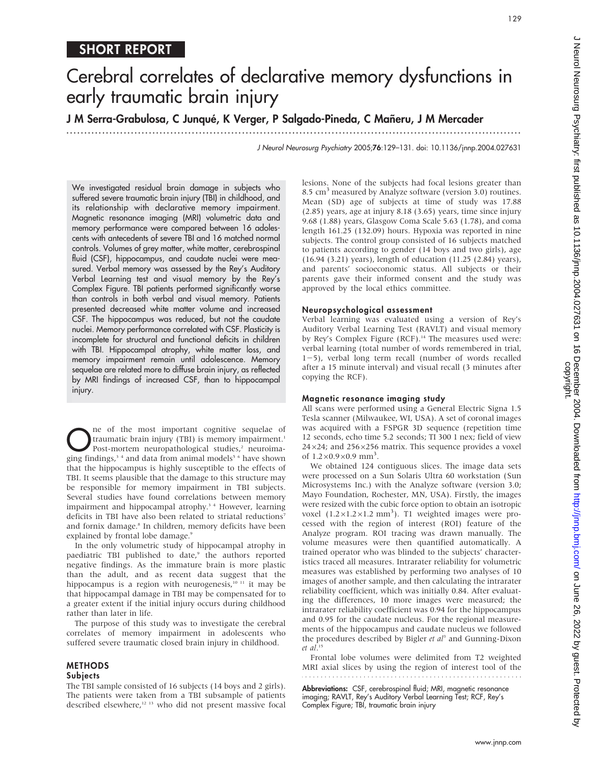## SHORT REPORT

# Cerebral correlates of declarative memory dysfunctions in early traumatic brain injury

### J M Serra-Grabulosa, C Junqué, K Verger, P Salgado-Pineda, C Mañeru, J M Mercader

...............................................................................................................................

J Neurol Neurosurg Psychiatry 2005;76:129–131. doi: 10.1136/jnnp.2004.027631

We investigated residual brain damage in subjects who suffered severe traumatic brain injury (TBI) in childhood, and its relationship with declarative memory impairment. Magnetic resonance imaging (MRI) volumetric data and memory performance were compared between 16 adolescents with antecedents of severe TBI and 16 matched normal controls. Volumes of grey matter, white matter, cerebrospinal fluid (CSF), hippocampus, and caudate nuclei were measured. Verbal memory was assessed by the Rey's Auditory Verbal Learning test and visual memory by the Rey's Complex Figure. TBI patients performed significantly worse than controls in both verbal and visual memory. Patients presented decreased white matter volume and increased CSF. The hippocampus was reduced, but not the caudate nuclei. Memory performance correlated with CSF. Plasticity is incomplete for structural and functional deficits in children with TBI. Hippocampal atrophy, white matter loss, and memory impairment remain until adolescence. Memory sequelae are related more to diffuse brain injury, as reflected by MRI findings of increased CSF, than to hippocampal injury.

The of the most important cognitive sequelae of<br>
Post-mortem neuropathological studies,<sup>2</sup> neuroima-<br>
post-mortem neuropathological studies,<sup>2</sup> neuroima-<br>
principality is and data from animal models<sup>5</sup> have shown traumatic brain injury (TBI) is memory impairment.<sup>1</sup> ging findings,<sup>34</sup> and data from animal models<sup>56</sup> have shown that the hippocampus is highly susceptible to the effects of TBI. It seems plausible that the damage to this structure may be responsible for memory impairment in TBI subjects. Several studies have found correlations between memory impairment and hippocampal atrophy.<sup>34</sup> However, learning deficits in TBI have also been related to striatal reductions<sup>7</sup> and fornix damage.<sup>8</sup> In children, memory deficits have been explained by frontal lobe damage.<sup>9</sup>

In the only volumetric study of hippocampal atrophy in paediatric TBI published to date,<sup>9</sup> the authors reported negative findings. As the immature brain is more plastic than the adult, and as recent data suggest that the hippocampus is a region with neurogenesis,<sup>10 11</sup> it may be that hippocampal damage in TBI may be compensated for to a greater extent if the initial injury occurs during childhood rather than later in life.

The purpose of this study was to investigate the cerebral correlates of memory impairment in adolescents who suffered severe traumatic closed brain injury in childhood.

#### METHODS

#### **Subjects**

The TBI sample consisted of 16 subjects (14 boys and 2 girls). The patients were taken from a TBI subsample of patients described elsewhere,<sup>12 13</sup> who did not present massive focal lesions. None of the subjects had focal lesions greater than 8.5 cm<sup>3</sup> measured by Analyze software (version 3.0) routines. Mean (SD) age of subjects at time of study was 17.88 (2.85) years, age at injury 8.18 (3.65) years, time since injury 9.68 (1.88) years, Glasgow Coma Scale 5.63 (1.78), and coma length 161.25 (132.09) hours. Hypoxia was reported in nine subjects. The control group consisted of 16 subjects matched to patients according to gender (14 boys and two girls), age (16.94 (3.21) years), length of education (11.25 (2.84) years), and parents' socioeconomic status. All subjects or their parents gave their informed consent and the study was approved by the local ethics committee.

#### Neuropsychological assessment

Verbal learning was evaluated using a version of Rey's Auditory Verbal Learning Test (RAVLT) and visual memory by Rey's Complex Figure (RCF).<sup>14</sup> The measures used were: verbal learning (total number of words remembered in trial,  $1-5$ ), verbal long term recall (number of words recalled after a 15 minute interval) and visual recall (3 minutes after copying the RCF).

#### Magnetic resonance imaging study

All scans were performed using a General Electric Signa 1.5 Tesla scanner (Milwaukee, WI, USA). A set of coronal images was acquired with a FSPGR 3D sequence (repetition time 12 seconds, echo time 5.2 seconds; TI 300 1 nex; field of view  $24\times24$ ; and  $256\times256$  matrix. This sequence provides a voxel of  $1.2 \times 0.9 \times 0.9$  mm<sup>3</sup>.

We obtained 124 contiguous slices. The image data sets were processed on a Sun Solaris Ultra 60 workstation (Sun Microsystems Inc.) with the Analyze software (version 3.0; Mayo Foundation, Rochester, MN, USA). Firstly, the images were resized with the cubic force option to obtain an isotropic voxel  $(1.2 \times 1.2 \times 1.2 \text{ mm}^3)$ . T1 weighted images were processed with the region of interest (ROI) feature of the Analyze program. ROI tracing was drawn manually. The volume measures were then quantified automatically. A trained operator who was blinded to the subjects' characteristics traced all measures. Intrarater reliability for volumetric measures was established by performing two analyses of 10 images of another sample, and then calculating the intrarater reliability coefficient, which was initially 0.84. After evaluating the differences, 10 more images were measured; the intrarater reliability coefficient was 0.94 for the hippocampus and 0.95 for the caudate nucleus. For the regional measurements of the hippocampus and caudate nucleus we followed the procedures described by Bigler  $et$   $al<sup>3</sup>$  and Gunning-Dixon et al. 15

Frontal lobe volumes were delimited from T2 weighted MRI axial slices by using the region of interest tool of the 

Abbreviations: CSF, cerebrospinal fluid; MRI, magnetic resonance imaging; RAVLT, Rey's Auditory Verbal Learning Test; RCF, Rey's Complex Figure; TBI, traumatic brain injury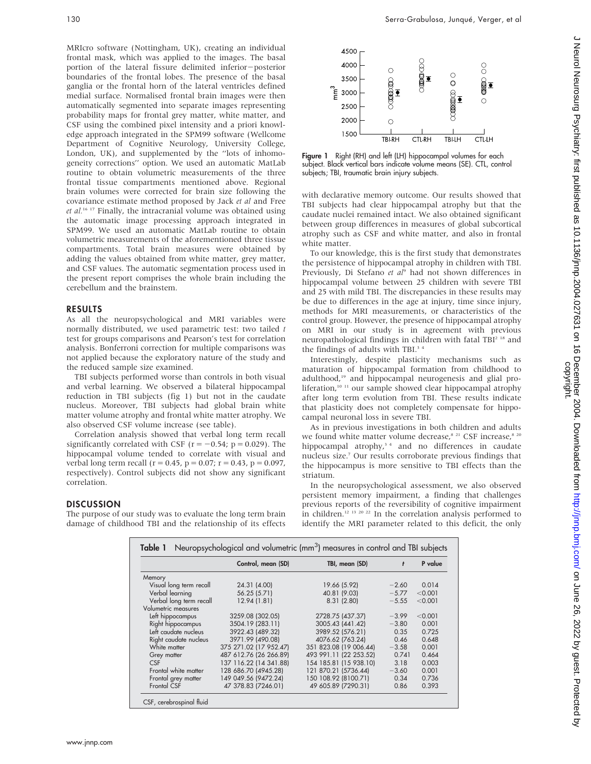MRIcro software (Nottingham, UK), creating an individual frontal mask, which was applied to the images. The basal portion of the lateral fissure delimited inferior-posterior boundaries of the frontal lobes. The presence of the basal ganglia or the frontal horn of the lateral ventricles defined medial surface. Normalised frontal brain images were then automatically segmented into separate images representing probability maps for frontal grey matter, white matter, and CSF using the combined pixel intensity and a priori knowledge approach integrated in the SPM99 software (Wellcome Department of Cognitive Neurology, University College, London, UK), and supplemented by the ''lots of inhomogeneity corrections'' option. We used an automatic MatLab routine to obtain volumetric measurements of the three frontal tissue compartments mentioned above. Regional brain volumes were corrected for brain size following the covariance estimate method proposed by Jack et al and Free et  $al.^{16}$  17 Finally, the intracranial volume was obtained using the automatic image processing approach integrated in SPM99. We used an automatic MatLab routine to obtain volumetric measurements of the aforementioned three tissue compartments. Total brain measures were obtained by adding the values obtained from white matter, grey matter, and CSF values. The automatic segmentation process used in the present report comprises the whole brain including the cerebellum and the brainstem.

#### RESULTS

As all the neuropsychological and MRI variables were normally distributed, we used parametric test: two tailed t test for groups comparisons and Pearson's test for correlation analysis. Bonferroni correction for multiple comparisons was not applied because the exploratory nature of the study and the reduced sample size examined.

TBI subjects performed worse than controls in both visual and verbal learning. We observed a bilateral hippocampal reduction in TBI subjects (fig 1) but not in the caudate nucleus. Moreover, TBI subjects had global brain white matter volume atrophy and frontal white matter atrophy. We also observed CSF volume increase (see table).

Correlation analysis showed that verbal long term recall significantly correlated with CSF ( $r = -0.54$ ;  $p = 0.029$ ). The hippocampal volume tended to correlate with visual and verbal long term recall ( $r = 0.45$ ,  $p = 0.07$ ;  $r = 0.43$ ,  $p = 0.097$ , respectively). Control subjects did not show any significant correlation.

#### DISCUSSION

The purpose of our study was to evaluate the long term brain damage of childhood TBI and the relationship of its effects



Figure 1 Right (RH) and left (LH) hippocampal volumes for each subject. Black vertical bars indicate volume means (SE). CTL, control subjects; TBI, traumatic brain injury subjects.

with declarative memory outcome. Our results showed that TBI subjects had clear hippocampal atrophy but that the caudate nuclei remained intact. We also obtained significant between group differences in measures of global subcortical atrophy such as CSF and white matter, and also in frontal white matter.

To our knowledge, this is the first study that demonstrates the persistence of hippocampal atrophy in children with TBI. Previously, Di Stefano et al<sup>9</sup> had not shown differences in hippocampal volume between 25 children with severe TBI and 25 with mild TBI. The discrepancies in these results may be due to differences in the age at injury, time since injury, methods for MRI measurements, or characteristics of the control group. However, the presence of hippocampal atrophy on MRI in our study is in agreement with previous neuropathological findings in children with fatal TBI<sup>2 18</sup> and the findings of adults with TBI.<sup>34</sup>

Interestingly, despite plasticity mechanisms such as maturation of hippocampal formation from childhood to adulthood,<sup>19</sup> and hippocampal neurogenesis and glial proliferation,<sup>10 11</sup> our sample showed clear hippocampal atrophy after long term evolution from TBI. These results indicate that plasticity does not completely compensate for hippocampal neuronal loss in severe TBI.

As in previous investigations in both children and adults we found white matter volume decrease,<sup>8 21</sup> CSF increase,<sup>8 20</sup> hippocampal atrophy,<sup>34</sup> and no differences in caudate nucleus size.7 Our results corroborate previous findings that the hippocampus is more sensitive to TBI effects than the striatum.

In the neuropsychological assessment, we also observed persistent memory impairment, a finding that challenges previous reports of the reversibility of cognitive impairment in children.12 13 20 22 In the correlation analysis performed to identify the MRI parameter related to this deficit, the only

| Table 1 Neuropsychological and volumetric (mm <sup>3</sup> ) measures in control and TBI subjects |                        |                        |         |         |
|---------------------------------------------------------------------------------------------------|------------------------|------------------------|---------|---------|
|                                                                                                   | Control, mean (SD)     | TBI, mean (SD)         | t       | P value |
| Memory                                                                                            |                        |                        |         |         |
| Visual long term recall                                                                           | 24.31 (4.00)           | 19.66 (5.92)           | $-2.60$ | 0.014   |
| Verbal learning                                                                                   | 56.25 (5.71)           | 40.81 (9.03)           | $-5.77$ | < 0.001 |
| Verbal long term recall                                                                           | 12.94 (1.81)           | 8.31(2.80)             | $-5.55$ | < 0.001 |
| Volumetric measures                                                                               |                        |                        |         |         |
| Left hippocampus                                                                                  | 3259.08 (302.05)       | 2728.75 (437.37)       | $-3.99$ | < 0.001 |
| Right hippocampus                                                                                 | 3504.19 (283.11)       | 3005.43 (441.42)       | $-3.80$ | 0.001   |
| Left caudate nucleus                                                                              | 3922.43 (489.32)       | 3989.52 (576.21)       | 0.35    | 0.725   |
| Right caudate nucleus                                                                             | 3971.99 (490.08)       | 4076.62 (763.24)       | 0.46    | 0.648   |
| White matter                                                                                      | 375 271.02 (17 952.47) | 351 823.08 (19 006.44) | $-3.58$ | 0.001   |
| Grey matter                                                                                       | 487 612.76 (26 266.89) | 493 991.11 (22 253.52) | 0.741   | 0.464   |
| <b>CSF</b>                                                                                        | 137 116.22 (14 341.88) | 154 185.81 (15 938.10) | 3.18    | 0.003   |
| Frontal white matter                                                                              | 128 686.70 (4945.28)   | 121 870.21 (5736.44)   | $-3.60$ | 0.001   |
| Frontal grey matter                                                                               | 149 049.56 (9472.24)   | 150 108.92 (8100.71)   | 0.34    | 0.736   |
| Frontal CSF                                                                                       | 47 378.83 (7246.01)    | 49 605.89 (7290.31)    | 0.86    | 0.393   |
| CSF, cerebrospinal fluid                                                                          |                        |                        |         |         |